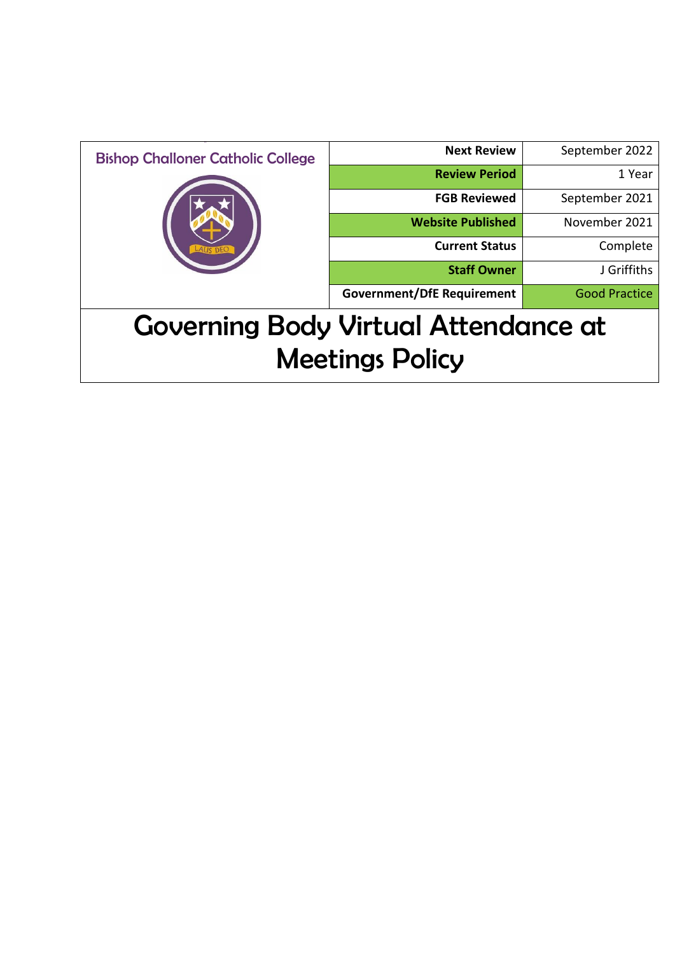| <b>Bishop Challoner Catholic College</b>    | <b>Next Review</b>                | September 2022       |
|---------------------------------------------|-----------------------------------|----------------------|
|                                             | <b>Review Period</b>              | 1 Year               |
|                                             | <b>FGB Reviewed</b>               | September 2021       |
|                                             | <b>Website Published</b>          | November 2021        |
|                                             | <b>Current Status</b>             | Complete             |
|                                             | <b>Staff Owner</b>                | J Griffiths          |
|                                             | <b>Government/DfE Requirement</b> | <b>Good Practice</b> |
| <b>Governing Body Virtual Attendance at</b> |                                   |                      |
| <b>Meetings Policy</b>                      |                                   |                      |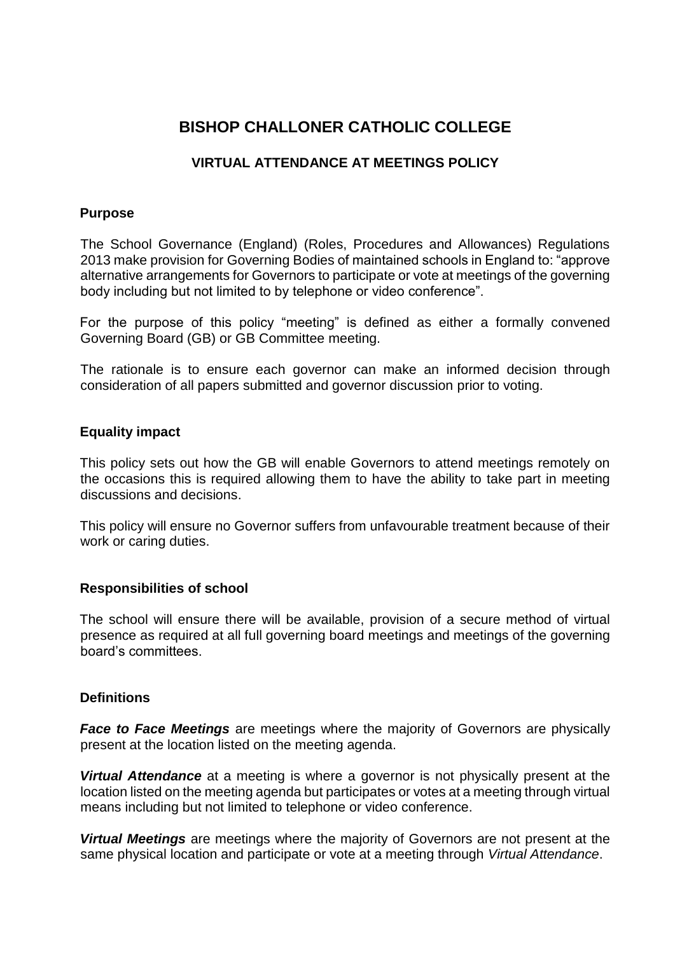# **BISHOP CHALLONER CATHOLIC COLLEGE**

## **VIRTUAL ATTENDANCE AT MEETINGS POLICY**

#### **Purpose**

The School Governance (England) (Roles, Procedures and Allowances) Regulations 2013 make provision for Governing Bodies of maintained schools in England to: "approve alternative arrangements for Governors to participate or vote at meetings of the governing body including but not limited to by telephone or video conference".

For the purpose of this policy "meeting" is defined as either a formally convened Governing Board (GB) or GB Committee meeting.

The rationale is to ensure each governor can make an informed decision through consideration of all papers submitted and governor discussion prior to voting.

#### **Equality impact**

This policy sets out how the GB will enable Governors to attend meetings remotely on the occasions this is required allowing them to have the ability to take part in meeting discussions and decisions.

This policy will ensure no Governor suffers from unfavourable treatment because of their work or caring duties.

#### **Responsibilities of school**

The school will ensure there will be available, provision of a secure method of virtual presence as required at all full governing board meetings and meetings of the governing board's committees.

### **Definitions**

*Face to Face Meetings* are meetings where the majority of Governors are physically present at the location listed on the meeting agenda.

*Virtual Attendance* at a meeting is where a governor is not physically present at the location listed on the meeting agenda but participates or votes at a meeting through virtual means including but not limited to telephone or video conference.

*Virtual Meetings* are meetings where the majority of Governors are not present at the same physical location and participate or vote at a meeting through *Virtual Attendance*.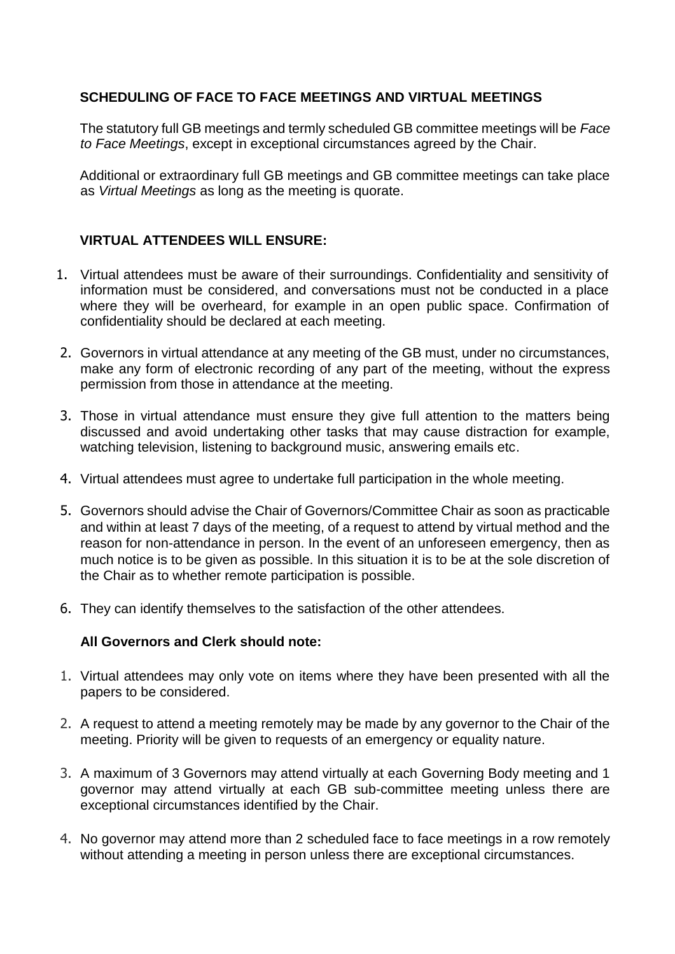### **SCHEDULING OF FACE TO FACE MEETINGS AND VIRTUAL MEETINGS**

The statutory full GB meetings and termly scheduled GB committee meetings will be *Face to Face Meetings*, except in exceptional circumstances agreed by the Chair.

Additional or extraordinary full GB meetings and GB committee meetings can take place as *Virtual Meetings* as long as the meeting is quorate.

# **VIRTUAL ATTENDEES WILL ENSURE:**

- 1. Virtual attendees must be aware of their surroundings. Confidentiality and sensitivity of information must be considered, and conversations must not be conducted in a place where they will be overheard, for example in an open public space. Confirmation of confidentiality should be declared at each meeting.
- 2. Governors in virtual attendance at any meeting of the GB must, under no circumstances, make any form of electronic recording of any part of the meeting, without the express permission from those in attendance at the meeting.
- 3. Those in virtual attendance must ensure they give full attention to the matters being discussed and avoid undertaking other tasks that may cause distraction for example, watching television, listening to background music, answering emails etc.
- 4. Virtual attendees must agree to undertake full participation in the whole meeting.
- 5. Governors should advise the Chair of Governors/Committee Chair as soon as practicable and within at least 7 days of the meeting, of a request to attend by virtual method and the reason for non-attendance in person. In the event of an unforeseen emergency, then as much notice is to be given as possible. In this situation it is to be at the sole discretion of the Chair as to whether remote participation is possible.
- 6. They can identify themselves to the satisfaction of the other attendees.

### **All Governors and Clerk should note:**

- 1. Virtual attendees may only vote on items where they have been presented with all the papers to be considered.
- 2. A request to attend a meeting remotely may be made by any governor to the Chair of the meeting. Priority will be given to requests of an emergency or equality nature.
- 3. A maximum of 3 Governors may attend virtually at each Governing Body meeting and 1 governor may attend virtually at each GB sub-committee meeting unless there are exceptional circumstances identified by the Chair.
- 4. No governor may attend more than 2 scheduled face to face meetings in a row remotely without attending a meeting in person unless there are exceptional circumstances.